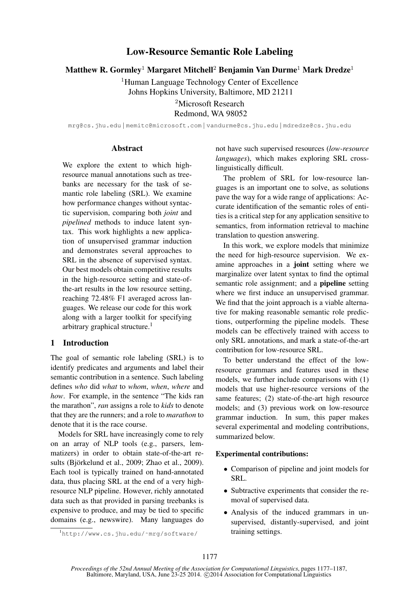# Low-Resource Semantic Role Labeling

Matthew R. Gormley<sup>1</sup> Margaret Mitchell<sup>2</sup> Benjamin Van Durme<sup>1</sup> Mark Dredze<sup>1</sup>

<sup>1</sup>Human Language Technology Center of Excellence Johns Hopkins University, Baltimore, MD 21211

> <sup>2</sup>Microsoft Research Redmond, WA 98052

mrg@cs.jhu.edu | memitc@microsoft.com | vandurme@cs.jhu.edu | mdredze@cs.jhu.edu

### Abstract

We explore the extent to which highresource manual annotations such as treebanks are necessary for the task of semantic role labeling (SRL). We examine how performance changes without syntactic supervision, comparing both *joint* and *pipelined* methods to induce latent syntax. This work highlights a new application of unsupervised grammar induction and demonstrates several approaches to SRL in the absence of supervised syntax. Our best models obtain competitive results in the high-resource setting and state-ofthe-art results in the low resource setting, reaching 72.48% F1 averaged across languages. We release our code for this work along with a larger toolkit for specifying arbitrary graphical structure.<sup>1</sup>

## 1 Introduction

The goal of semantic role labeling (SRL) is to identify predicates and arguments and label their semantic contribution in a sentence. Such labeling defines *who* did *what* to *whom*, *when*, *where* and *how*. For example, in the sentence "The kids ran the marathon", *ran* assigns a role to *kids* to denote that they are the runners; and a role to *marathon* to denote that it is the race course.

Models for SRL have increasingly come to rely on an array of NLP tools (e.g., parsers, lemmatizers) in order to obtain state-of-the-art results (Björkelund et al., 2009; Zhao et al., 2009). Each tool is typically trained on hand-annotated data, thus placing SRL at the end of a very highresource NLP pipeline. However, richly annotated data such as that provided in parsing treebanks is expensive to produce, and may be tied to specific domains (e.g., newswire). Many languages do

<sup>1</sup>http://www.cs.jhu.edu/˜mrg/software/

not have such supervised resources (*low-resource languages*), which makes exploring SRL crosslinguistically difficult.

The problem of SRL for low-resource languages is an important one to solve, as solutions pave the way for a wide range of applications: Accurate identification of the semantic roles of entities is a critical step for any application sensitive to semantics, from information retrieval to machine translation to question answering.

In this work, we explore models that minimize the need for high-resource supervision. We examine approaches in a joint setting where we marginalize over latent syntax to find the optimal semantic role assignment; and a **pipeline** setting where we first induce an unsupervised grammar. We find that the joint approach is a viable alternative for making reasonable semantic role predictions, outperforming the pipeline models. These models can be effectively trained with access to only SRL annotations, and mark a state-of-the-art contribution for low-resource SRL.

To better understand the effect of the lowresource grammars and features used in these models, we further include comparisons with (1) models that use higher-resource versions of the same features; (2) state-of-the-art high resource models; and (3) previous work on low-resource grammar induction. In sum, this paper makes several experimental and modeling contributions, summarized below.

## Experimental contributions:

- Comparison of pipeline and joint models for SRL.
- Subtractive experiments that consider the removal of supervised data.
- Analysis of the induced grammars in unsupervised, distantly-supervised, and joint training settings.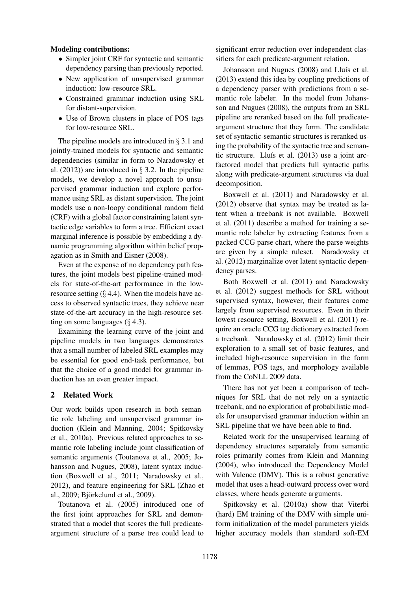## Modeling contributions:

- Simpler joint CRF for syntactic and semantic dependency parsing than previously reported.
- New application of unsupervised grammar induction: low-resource SRL.
- Constrained grammar induction using SRL for distant-supervision.
- Use of Brown clusters in place of POS tags for low-resource SRL.

The pipeline models are introduced in  $\S 3.1$  and jointly-trained models for syntactic and semantic dependencies (similar in form to Naradowsky et al.  $(2012)$  are introduced in § 3.2. In the pipeline models, we develop a novel approach to unsupervised grammar induction and explore performance using SRL as distant supervision. The joint models use a non-loopy conditional random field (CRF) with a global factor constraining latent syntactic edge variables to form a tree. Efficient exact marginal inference is possible by embedding a dynamic programming algorithm within belief propagation as in Smith and Eisner (2008).

Even at the expense of no dependency path features, the joint models best pipeline-trained models for state-of-the-art performance in the lowresource setting  $(\S 4.4)$ . When the models have access to observed syntactic trees, they achieve near state-of-the-art accuracy in the high-resource setting on some languages  $(\S 4.3)$ .

Examining the learning curve of the joint and pipeline models in two languages demonstrates that a small number of labeled SRL examples may be essential for good end-task performance, but that the choice of a good model for grammar induction has an even greater impact.

## 2 Related Work

Our work builds upon research in both semantic role labeling and unsupervised grammar induction (Klein and Manning, 2004; Spitkovsky et al., 2010a). Previous related approaches to semantic role labeling include joint classification of semantic arguments (Toutanova et al., 2005; Johansson and Nugues, 2008), latent syntax induction (Boxwell et al., 2011; Naradowsky et al., 2012), and feature engineering for SRL (Zhao et al., 2009; Björkelund et al., 2009).

Toutanova et al. (2005) introduced one of the first joint approaches for SRL and demonstrated that a model that scores the full predicateargument structure of a parse tree could lead to significant error reduction over independent classifiers for each predicate-argument relation.

Johansson and Nugues (2008) and Lluís et al. (2013) extend this idea by coupling predictions of a dependency parser with predictions from a semantic role labeler. In the model from Johansson and Nugues (2008), the outputs from an SRL pipeline are reranked based on the full predicateargument structure that they form. The candidate set of syntactic-semantic structures is reranked using the probability of the syntactic tree and semantic structure. Lluís et al.  $(2013)$  use a joint arcfactored model that predicts full syntactic paths along with predicate-argument structures via dual decomposition.

Boxwell et al. (2011) and Naradowsky et al. (2012) observe that syntax may be treated as latent when a treebank is not available. Boxwell et al. (2011) describe a method for training a semantic role labeler by extracting features from a packed CCG parse chart, where the parse weights are given by a simple ruleset. Naradowsky et al. (2012) marginalize over latent syntactic dependency parses.

Both Boxwell et al. (2011) and Naradowsky et al. (2012) suggest methods for SRL without supervised syntax, however, their features come largely from supervised resources. Even in their lowest resource setting, Boxwell et al. (2011) require an oracle CCG tag dictionary extracted from a treebank. Naradowsky et al. (2012) limit their exploration to a small set of basic features, and included high-resource supervision in the form of lemmas, POS tags, and morphology available from the CoNLL 2009 data.

There has not yet been a comparison of techniques for SRL that do not rely on a syntactic treebank, and no exploration of probabilistic models for unsupervised grammar induction within an SRL pipeline that we have been able to find.

Related work for the unsupervised learning of dependency structures separately from semantic roles primarily comes from Klein and Manning (2004), who introduced the Dependency Model with Valence (DMV). This is a robust generative model that uses a head-outward process over word classes, where heads generate arguments.

Spitkovsky et al. (2010a) show that Viterbi (hard) EM training of the DMV with simple uniform initialization of the model parameters yields higher accuracy models than standard soft-EM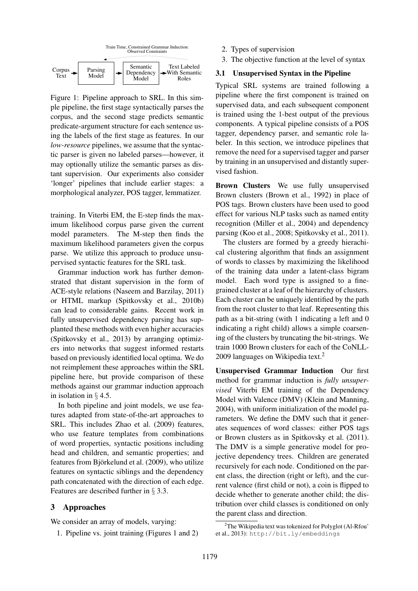

Figure 1: Pipeline approach to SRL. In this simple pipeline, the first stage syntactically parses the corpus, and the second stage predicts semantic predicate-argument structure for each sentence using the labels of the first stage as features. In our *low-resource* pipelines, we assume that the syntactic parser is given no labeled parses—however, it may optionally utilize the semantic parses as distant supervision. Our experiments also consider 'longer' pipelines that include earlier stages: a morphological analyzer, POS tagger, lemmatizer.

training. In Viterbi EM, the E-step finds the maximum likelihood corpus parse given the current model parameters. The M-step then finds the maximum likelihood parameters given the corpus parse. We utilize this approach to produce unsupervised syntactic features for the SRL task.

Grammar induction work has further demonstrated that distant supervision in the form of ACE-style relations (Naseem and Barzilay, 2011) or HTML markup (Spitkovsky et al., 2010b) can lead to considerable gains. Recent work in fully unsupervised dependency parsing has supplanted these methods with even higher accuracies (Spitkovsky et al., 2013) by arranging optimizers into networks that suggest informed restarts based on previously identified local optima. We do not reimplement these approaches within the SRL pipeline here, but provide comparison of these methods against our grammar induction approach in isolation in § 4.5.

In both pipeline and joint models, we use features adapted from state-of-the-art approaches to SRL. This includes Zhao et al. (2009) features, who use feature templates from combinations of word properties, syntactic positions including head and children, and semantic properties; and features from Björkelund et al. (2009), who utilize features on syntactic siblings and the dependency path concatenated with the direction of each edge. Features are described further in § 3.3.

## 3 Approaches

We consider an array of models, varying:

1. Pipeline vs. joint training (Figures 1 and 2)

- 2. Types of supervision
- 3. The objective function at the level of syntax

## 3.1 Unsupervised Syntax in the Pipeline

Typical SRL systems are trained following a pipeline where the first component is trained on supervised data, and each subsequent component is trained using the 1-best output of the previous components. A typical pipeline consists of a POS tagger, dependency parser, and semantic role labeler. In this section, we introduce pipelines that remove the need for a supervised tagger and parser by training in an unsupervised and distantly supervised fashion.

Brown Clusters We use fully unsupervised Brown clusters (Brown et al., 1992) in place of POS tags. Brown clusters have been used to good effect for various NLP tasks such as named entity recognition (Miller et al., 2004) and dependency parsing (Koo et al., 2008; Spitkovsky et al., 2011).

The clusters are formed by a greedy hierachical clustering algorithm that finds an assignment of words to classes by maximizing the likelihood of the training data under a latent-class bigram model. Each word type is assigned to a finegrained cluster at a leaf of the hierarchy of clusters. Each cluster can be uniquely identified by the path from the root cluster to that leaf. Representing this path as a bit-string (with 1 indicating a left and 0 indicating a right child) allows a simple coarsening of the clusters by truncating the bit-strings. We train 1000 Brown clusters for each of the CoNLL-2009 languages on Wikipedia text.<sup>2</sup>

Unsupervised Grammar Induction Our first method for grammar induction is *fully unsupervised* Viterbi EM training of the Dependency Model with Valence (DMV) (Klein and Manning, 2004), with uniform initialization of the model parameters. We define the DMV such that it generates sequences of word classes: either POS tags or Brown clusters as in Spitkovsky et al. (2011). The DMV is a simple generative model for projective dependency trees. Children are generated recursively for each node. Conditioned on the parent class, the direction (right or left), and the current valence (first child or not), a coin is flipped to decide whether to generate another child; the distribution over child classes is conditioned on only the parent class and direction.

 $2$ The Wikipedia text was tokenized for Polyglot (Al-Rfou)<sup>2</sup> et al., 2013): http://bit.ly/embeddings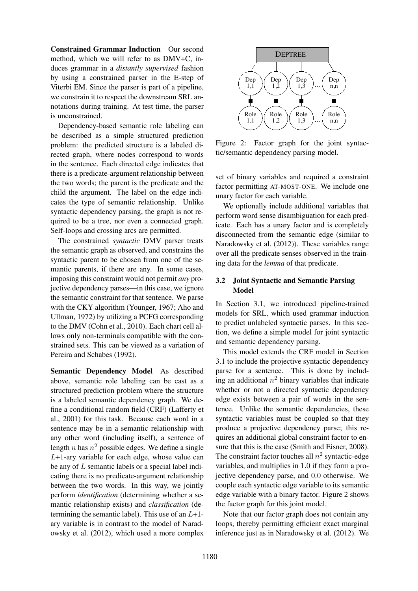Constrained Grammar Induction Our second method, which we will refer to as DMV+C, induces grammar in a *distantly supervised* fashion by using a constrained parser in the E-step of Viterbi EM. Since the parser is part of a pipeline, we constrain it to respect the downstream SRL annotations during training. At test time, the parser is unconstrained.

Dependency-based semantic role labeling can be described as a simple structured prediction problem: the predicted structure is a labeled directed graph, where nodes correspond to words in the sentence. Each directed edge indicates that there is a predicate-argument relationship between the two words; the parent is the predicate and the child the argument. The label on the edge indicates the type of semantic relationship. Unlike syntactic dependency parsing, the graph is not required to be a tree, nor even a connected graph. Self-loops and crossing arcs are permitted.

The constrained *syntactic* DMV parser treats the semantic graph as observed, and constrains the syntactic parent to be chosen from one of the semantic parents, if there are any. In some cases, imposing this constraint would not permit *any* projective dependency parses—in this case, we ignore the semantic constraint for that sentence. We parse with the CKY algorithm (Younger, 1967; Aho and Ullman, 1972) by utilizing a PCFG corresponding to the DMV (Cohn et al., 2010). Each chart cell allows only non-terminals compatible with the constrained sets. This can be viewed as a variation of Pereira and Schabes (1992).

Semantic Dependency Model As described above, semantic role labeling can be cast as a structured prediction problem where the structure is a labeled semantic dependency graph. We define a conditional random field (CRF) (Lafferty et al., 2001) for this task. Because each word in a sentence may be in a semantic relationship with any other word (including itself), a sentence of length *n* has  $n^2$  possible edges. We define a single  $L+1$ -ary variable for each edge, whose value can be any of L semantic labels or a special label indicating there is no predicate-argument relationship between the two words. In this way, we jointly perform *identification* (determining whether a semantic relationship exists) and *classification* (determining the semantic label). This use of an  $L+1$ ary variable is in contrast to the model of Naradowsky et al. (2012), which used a more complex



Figure 2: Factor graph for the joint syntactic/semantic dependency parsing model.

set of binary variables and required a constraint factor permitting AT-MOST-ONE. We include one unary factor for each variable.

We optionally include additional variables that perform word sense disambiguation for each predicate. Each has a unary factor and is completely disconnected from the semantic edge (similar to Naradowsky et al. (2012)). These variables range over all the predicate senses observed in the training data for the *lemma* of that predicate.

## 3.2 Joint Syntactic and Semantic Parsing Model

In Section 3.1, we introduced pipeline-trained models for SRL, which used grammar induction to predict unlabeled syntactic parses. In this section, we define a simple model for joint syntactic and semantic dependency parsing.

This model extends the CRF model in Section 3.1 to include the projective syntactic dependency parse for a sentence. This is done by including an additional  $n^2$  binary variables that indicate whether or not a directed syntactic dependency edge exists between a pair of words in the sentence. Unlike the semantic dependencies, these syntactic variables must be coupled so that they produce a projective dependency parse; this requires an additional global constraint factor to ensure that this is the case (Smith and Eisner, 2008). The constraint factor touches all  $n^2$  syntactic-edge variables, and multiplies in 1.0 if they form a projective dependency parse, and 0.0 otherwise. We couple each syntactic edge variable to its semantic edge variable with a binary factor. Figure 2 shows the factor graph for this joint model.

Note that our factor graph does not contain any loops, thereby permitting efficient exact marginal inference just as in Naradowsky et al. (2012). We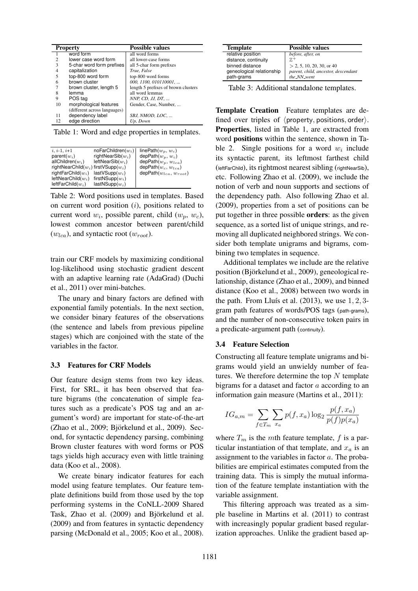|    | <b>Property</b>              | <b>Possible values</b>              |  |  |
|----|------------------------------|-------------------------------------|--|--|
|    | word form                    | all word forms                      |  |  |
| 2  | lower case word form         | all lower-case forms                |  |  |
| 3  | 5-char word form prefixes    | all 5-char form prefixes            |  |  |
| 4  | capitalization               | True, False                         |  |  |
| 5  | top-800 word form            | top-800 word forms                  |  |  |
| 6  | brown cluster                | 000, 1100, 010110001,               |  |  |
| 7  | brown cluster, length 5      | length 5 prefixes of brown clusters |  |  |
| 8  | lemma                        | all word lemmas                     |  |  |
| 9  | POS tag                      | NNP, CD, JJ, DT,                    |  |  |
| 10 | morphological features       | Gender, Case, Number,               |  |  |
|    | (different across languages) |                                     |  |  |
| 11 | dependency label             | SBJ, NMOD, LOC,                     |  |  |
| 12 | edge direction               | Up. Down                            |  |  |

Table 1: Word and edge properties in templates.

| $i, i-1, i+1$                             | $noFarChildren(w_i)$ | linePath $(w_p, w_c)$                 |
|-------------------------------------------|----------------------|---------------------------------------|
| parent $(w_i)$                            | rightNearSib $(w_i)$ | depPath $(w_p, w_c)$                  |
| allChildren $(w_i)$                       | leftNearSib $(w_i)$  | depPath $(w_p, w_{lca})$              |
| rightNearChild $(w_i)$ firstVSupp $(w_i)$ |                      | $\mathsf{depPath}(w_c, w_{lca})$      |
| rightFarChild $(w_i)$                     | $lastVSupp(w_i)$     | $\mathsf{depPath}(w_{lca}, w_{root})$ |
| leftNearChild $(w_i)$                     | firstNSupp $(w_i)$   |                                       |
| $leftFarChild(w_i)$                       | $lastNSupp(w_i)$     |                                       |

Table 2: Word positions used in templates. Based on current word position  $(i)$ , positions related to current word  $w_i$ , possible parent, child  $(w_p, w_c)$ , lowest common ancestor between parent/child  $(w_{lca})$ , and syntactic root  $(w_{root})$ .

train our CRF models by maximizing conditional log-likelihood using stochastic gradient descent with an adaptive learning rate (AdaGrad) (Duchi et al., 2011) over mini-batches.

The unary and binary factors are defined with exponential family potentials. In the next section, we consider binary features of the observations (the sentence and labels from previous pipeline stages) which are conjoined with the state of the variables in the factor.

#### 3.3 Features for CRF Models

Our feature design stems from two key ideas. First, for SRL, it has been observed that feature bigrams (the concatenation of simple features such as a predicate's POS tag and an argument's word) are important for state-of-the-art  $(Zhao et al., 2009; Björkelund et al., 2009).$  Second, for syntactic dependency parsing, combining Brown cluster features with word forms or POS tags yields high accuracy even with little training data (Koo et al., 2008).

We create binary indicator features for each model using feature templates. Our feature template definitions build from those used by the top performing systems in the CoNLL-2009 Shared Task, Zhao et al. (2009) and Björkelund et al. (2009) and from features in syntactic dependency parsing (McDonald et al., 2005; Koo et al., 2008).

| <b>Template</b>           | <b>Possible values</b>              |
|---------------------------|-------------------------------------|
| relative position         | before, after, on                   |
| distance, continuity      |                                     |
| binned distance           | $> 2, 5, 10, 20, 30,$ or 40         |
| geneological relationship | parent, child, ancestor, descendant |
| path-grams                | the_NN_went                         |

Table 3: Additional standalone templates.

Template Creation Feature templates are defined over triples of  $\langle$  property, positions, order $\rangle$ . Properties, listed in Table 1, are extracted from word positions within the sentence, shown in Table 2. Single positions for a word  $w_i$  include its syntactic parent, its leftmost farthest child (leftFarChild), its rightmost nearest sibling (rightNearSib), etc. Following Zhao et al. (2009), we include the notion of verb and noun supports and sections of the dependency path. Also following Zhao et al. (2009), properties from a set of positions can be put together in three possible orders: as the given sequence, as a sorted list of unique strings, and removing all duplicated neighbored strings. We consider both template unigrams and bigrams, combining two templates in sequence.

Additional templates we include are the relative position (Björkelund et al., 2009), geneological relationship, distance (Zhao et al., 2009), and binned distance (Koo et al., 2008) between two words in the path. From Lluís et al.  $(2013)$ , we use  $1, 2, 3$ gram path features of words/POS tags (path-grams), and the number of non-consecutive token pairs in a predicate-argument path (continuity).

#### 3.4 Feature Selection

Constructing all feature template unigrams and bigrams would yield an unwieldy number of features. We therefore determine the top  $N$  template bigrams for a dataset and factor a according to an information gain measure (Martins et al., 2011):

$$
IG_{a,m} = \sum_{f \in T_m} \sum_{x_a} p(f, x_a) \log_2 \frac{p(f, x_a)}{p(f)p(x_a)}
$$

where  $T_m$  is the mth feature template, f is a particular instantiation of that template, and  $x_a$  is an assignment to the variables in factor a. The probabilities are empirical estimates computed from the training data. This is simply the mutual information of the feature template instantiation with the variable assignment.

This filtering approach was treated as a simple baseline in Martins et al. (2011) to contrast with increasingly popular gradient based regularization approaches. Unlike the gradient based ap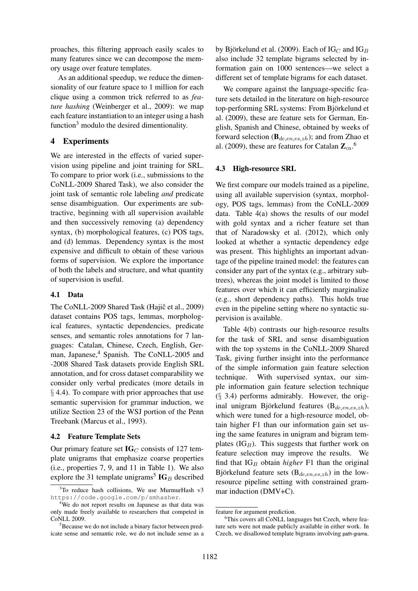proaches, this filtering approach easily scales to many features since we can decompose the memory usage over feature templates.

As an additional speedup, we reduce the dimensionality of our feature space to 1 million for each clique using a common trick referred to as *feature hashing* (Weinberger et al., 2009): we map each feature instantiation to an integer using a hash function $3$  modulo the desired dimentionality.

## 4 Experiments

We are interested in the effects of varied supervision using pipeline and joint training for SRL. To compare to prior work (i.e., submissions to the CoNLL-2009 Shared Task), we also consider the joint task of semantic role labeling *and* predicate sense disambiguation. Our experiments are subtractive, beginning with all supervision available and then successively removing (a) dependency syntax, (b) morphological features, (c) POS tags, and (d) lemmas. Dependency syntax is the most expensive and difficult to obtain of these various forms of supervision. We explore the importance of both the labels and structure, and what quantity of supervision is useful.

## 4.1 Data

The CoNLL-2009 Shared Task (Hajič et al., 2009) dataset contains POS tags, lemmas, morphological features, syntactic dependencies, predicate senses, and semantic roles annotations for 7 languages: Catalan, Chinese, Czech, English, German, Japanese,<sup>4</sup> Spanish. The CoNLL-2005 and -2008 Shared Task datasets provide English SRL annotation, and for cross dataset comparability we consider only verbal predicates (more details in § 4.4). To compare with prior approaches that use semantic supervision for grammar induction, we utilize Section 23 of the WSJ portion of the Penn Treebank (Marcus et al., 1993).

#### 4.2 Feature Template Sets

Our primary feature set  $IG_C$  consists of 127 template unigrams that emphasize coarse properties (i.e., properties 7, 9, and 11 in Table 1). We also explore the 31 template unigrams<sup>5</sup>  $IG_B$  described by Björkelund et al. (2009). Each of  $IG_C$  and  $IG_B$ also include 32 template bigrams selected by information gain on 1000 sentences—we select a different set of template bigrams for each dataset.

We compare against the language-specific feature sets detailed in the literature on high-resource top-performing SRL systems: From Björkelund et al. (2009), these are feature sets for German, English, Spanish and Chinese, obtained by weeks of forward selection ( $\mathbf{B}_{de, en, es, zh}$ ); and from Zhao et al. (2009), these are features for Catalan  $\mathbb{Z}_{ca}$ .<sup>6</sup>

#### 4.3 High-resource SRL

We first compare our models trained as a pipeline, using all available supervision (syntax, morphology, POS tags, lemmas) from the CoNLL-2009 data. Table 4(a) shows the results of our model with gold syntax and a richer feature set than that of Naradowsky et al. (2012), which only looked at whether a syntactic dependency edge was present. This highlights an important advantage of the pipeline trained model: the features can consider any part of the syntax (e.g., arbitrary subtrees), whereas the joint model is limited to those features over which it can efficiently marginalize (e.g., short dependency paths). This holds true even in the pipeline setting where no syntactic supervision is available.

Table 4(b) contrasts our high-resource results for the task of SRL and sense disambiguation with the top systems in the CoNLL-2009 Shared Task, giving further insight into the performance of the simple information gain feature selection technique. With supervised syntax, our simple information gain feature selection technique (§ 3.4) performs admirably. However, the original unigram Björkelund features ( $B_{de, en, es, zh}$ ), which were tuned for a high-resource model, obtain higher F1 than our information gain set using the same features in unigram and bigram templates  $(IG_B)$ . This suggests that further work on feature selection may improve the results. We find that  $IG_B$  obtain *higher* F1 than the original Björkelund feature sets  $(B_{de, en, es, zh})$  in the lowresource pipeline setting with constrained grammar induction (DMV+C).

 $3$ To reduce hash collisions, We use MurmurHash v3 https://code.google.com/p/smhasher.

<sup>&</sup>lt;sup>4</sup>We do not report results on Japanese as that data was only made freely available to researchers that competed in CoNLL 2009.

<sup>&</sup>lt;sup>5</sup>Because we do not include a binary factor between predicate sense and semantic role, we do not include sense as a

feature for argument prediction.

<sup>&</sup>lt;sup>6</sup>This covers all CoNLL languages but Czech, where feature sets were not made publicly available in either work. In Czech, we disallowed template bigrams involving path-grams.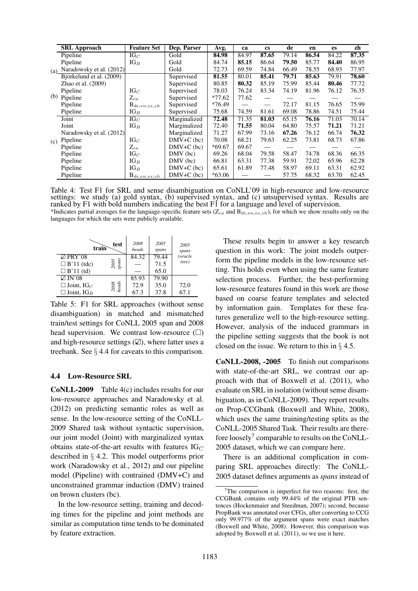|     | <b>SRL</b> Approach      | <b>Feature Set</b>            | Dep. Parser  | Avg.     | ca    | <b>CS</b> | de    | en    | <b>es</b> | zh    |
|-----|--------------------------|-------------------------------|--------------|----------|-------|-----------|-------|-------|-----------|-------|
|     | Pipeline                 | $IG_C$                        | Gold         | 84.98    | 84.97 | 87.65     | 79.14 | 86.54 | 84.22     | 87.35 |
|     | Pipeline                 | $IG_B$                        | Gold         | 84.74    | 85.15 | 86.64     | 79.50 | 85.77 | 84.40     | 86.95 |
| (a) | Naradowsky et al. (2012) |                               | Gold         | 72.73    | 69.59 | 74.84     | 66.49 | 78.55 | 68.93     | 77.97 |
|     | Björkelund et al. (2009) |                               | Supervised   | 81.55    | 80.01 | 85.41     | 79.71 | 85.63 | 79.91     | 78.60 |
|     | Zhao et al. (2009)       |                               | Supervised   | 80.85    | 80.32 | 85.19     | 75.99 | 85.44 | 80.46     | 77.72 |
|     | Pipeline                 | $IG_C$                        | Supervised   | 78.03    | 76.24 | 83.34     | 74.19 | 81.96 | 76.12     | 76.35 |
| (b) | Pipeline                 | $\rm Z_{ca}$                  | Supervised   | $*77.62$ | 77.62 |           |       |       |           |       |
|     | Pipeline                 | $\mathrm{B}_{de, en, es, zh}$ | Supervised   | $*76.49$ |       |           | 72.17 | 81.15 | 76.65     | 75.99 |
|     | Pipeline                 | $IG_B$                        | Supervised   | 75.68    | 74.59 | 81.61     | 69.08 | 78.86 | 74.51     | 75.44 |
|     | Joint                    | $IG_C$                        | Marginalized | 72.48    | 71.35 | 81.03     | 65.15 | 76.16 | 71.03     | 70.14 |
|     | Joint                    | $IG_B$                        | Marginalized | 72.40    | 71.55 | 80.04     | 64.80 | 75.57 | 71.21     | 71.21 |
|     | Naradowsky et al. (2012) |                               | Marginalized | 71.27    | 67.99 | 73.16     | 67.26 | 76.12 | 66.74     | 76.32 |
| (c) | Pipeline                 | $IG_C$                        | $DMV+C$ (bc) | 70.08    | 68.21 | 79.63     | 62.25 | 73.81 | 68.73     | 67.86 |
|     | Pipeline                 | $\rm Z_{ca}$                  | $DMV+C$ (bc) | $*69.67$ | 69.67 |           |       |       |           |       |
|     | Pipeline                 | $IG_C$                        | $DMV$ (bc)   | 69.26    | 68.04 | 79.58     | 58.47 | 74.78 | 68.36     | 66.35 |
|     | Pipeline                 | $IG_B$                        | $DMV$ (bc)   | 66.81    | 63.31 | 77.38     | 59.91 | 72.02 | 65.96     | 62.28 |
|     | Pipeline                 | $IG_B$                        | $DMV+C$ (bc) | 65.61    | 61.89 | 77.48     | 58.97 | 69.11 | 63.31     | 62.92 |
|     | Pipeline                 | $B_{de, en, es, zh}$          | $DMV+C$ (bc) | $*63.06$ |       |           | 57.75 | 68.32 | 63.70     | 62.45 |

Table 4: Test F1 for SRL and sense disambiguation on CoNLL'09 in high-resource and low-resource settings: we study (a) gold syntax, (b) supervised syntax, and (c) unsupervised syntax. Results are ranked by F1 with bold numbers indicating the best F1 for a language and level of supervision. \*Indicates partial averages for the language-specific feature sets  $(Z_{ca}$  and  $B_{de, en, es, zh}$ ), for which we show results only on the

languages for which the sets were publicly available.

| train                            | test            | 2008<br>heads | 2005<br>spans | 2005<br>spans |
|----------------------------------|-----------------|---------------|---------------|---------------|
| $\boxtimes$ PRY'08               |                 | 84.32         | 79.44         | (oracle       |
| $\Box$ B'11 (tdc)                | $2005\,$ spans  |               | 71.5          | tree)         |
| $\Box$ B'11 (td)                 |                 |               | 65.0          |               |
| $\boxtimes$ JN'08                |                 | 85.93         | 79.90         |               |
| $\square$ Joint, IG <sub>C</sub> | $2008$<br>heads | 72.9          | 35.0          | 72.0          |
| $\square$ Joint, IG <sub>B</sub> |                 | 67.3          | 37.8          | 67.1          |

Table 5: F1 for SRL approaches (without sense disambiguation) in matched and mismatched train/test settings for CoNLL 2005 span and 2008 head supervision. We contrast low-resource  $(\Box)$ and high-resource settings  $(\mathbb{Z})$ , where latter uses a treebank. See § 4.4 for caveats to this comparison.

## 4.4 Low-Resource SRL

CoNLL-2009 Table 4(c) includes results for our low-resource approaches and Naradowsky et al. (2012) on predicting semantic roles as well as sense. In the low-resource setting of the CoNLL-2009 Shared task without syntactic supervision, our joint model (Joint) with marginalized syntax obtains state-of-the-art results with features  $IG_C$ described in § 4.2. This model outperforms prior work (Naradowsky et al., 2012) and our pipeline model (Pipeline) with contrained (DMV+C) and unconstrained grammar induction (DMV) trained on brown clusters (bc).

In the low-resource setting, training and decoding times for the pipeline and joint methods are similar as computation time tends to be dominated by feature extraction.

These results begin to answer a key research question in this work: The joint models outperform the pipeline models in the low-resource setting. This holds even when using the same feature selection process. Further, the best-performing low-resource features found in this work are those based on coarse feature templates and selected by information gain. Templates for these features generalize well to the high-resource setting. However, analysis of the induced grammars in the pipeline setting suggests that the book is not closed on the issue. We return to this in  $\S$  4.5.

CoNLL-2008, -2005 To finish out comparisons with state-of-the-art SRL, we contrast our approach with that of Boxwell et al. (2011), who evaluate on SRL in isolation (without sense disambiguation, as in CoNLL-2009). They report results on Prop-CCGbank (Boxwell and White, 2008), which uses the same training/testing splits as the CoNLL-2005 Shared Task. Their results are therefore loosely<sup>7</sup> comparable to results on the CoNLL-2005 dataset, which we can compare here.

There is an additional complication in comparing SRL approaches directly: The CoNLL-2005 dataset defines arguments as *spans* instead of

The comparison is imperfect for two reasons: first, the CCGBank contains only 99.44% of the original PTB sentences (Hockenmaier and Steedman, 2007); second, because PropBank was annotated over CFGs, after converting to CCG only 99.977% of the argument spans were exact matches (Boxwell and White, 2008). However, this comparison was adopted by Boxwell et al. (2011), so we use it here.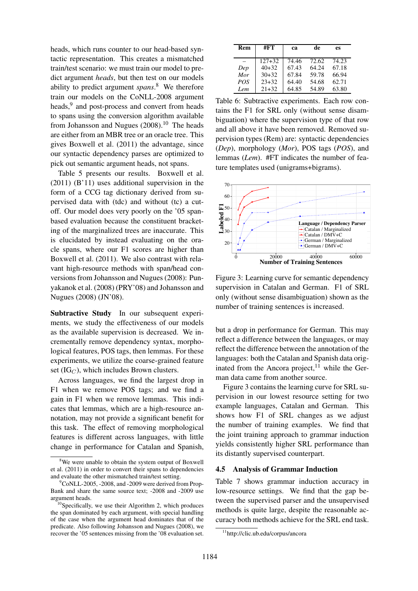heads, which runs counter to our head-based syntactic representation. This creates a mismatched train/test scenario: we must train our model to predict argument *heads*, but then test on our models ability to predict argument *spans*. <sup>8</sup> We therefore train our models on the CoNLL-2008 argument heads,<sup>9</sup> and post-process and convert from heads to spans using the conversion algorithm available from Johansson and Nugues  $(2008).<sup>10</sup>$  The heads are either from an MBR tree or an oracle tree. This gives Boxwell et al. (2011) the advantage, since our syntactic dependency parses are optimized to pick out semantic argument heads, not spans.

Table 5 presents our results. Boxwell et al. (2011) (B'11) uses additional supervision in the form of a CCG tag dictionary derived from supervised data with (tdc) and without (tc) a cutoff. Our model does very poorly on the '05 spanbased evaluation because the constituent bracketing of the marginalized trees are inaccurate. This is elucidated by instead evaluating on the oracle spans, where our F1 scores are higher than Boxwell et al. (2011). We also contrast with relavant high-resource methods with span/head conversions from Johansson and Nugues (2008): Punyakanok et al. (2008) (PRY'08) and Johansson and Nugues (2008) (JN'08).

Subtractive Study In our subsequent experiments, we study the effectiveness of our models as the available supervision is decreased. We incrementally remove dependency syntax, morphological features, POS tags, then lemmas. For these experiments, we utilize the coarse-grained feature set  $(IG_C)$ , which includes Brown clusters.

Across languages, we find the largest drop in F1 when we remove POS tags; and we find a gain in F1 when we remove lemmas. This indicates that lemmas, which are a high-resource annotation, may not provide a significant benefit for this task. The effect of removing morphological features is different across languages, with little change in performance for Catalan and Spanish,

| Rem        | #FT        | ca    | de    | es    |
|------------|------------|-------|-------|-------|
|            | $127 + 32$ | 74.46 | 72.62 | 74.23 |
| Dep        | $40+32$    | 67.43 | 64.24 | 67.18 |
| Mor        | $30+32$    | 67.84 | 59.78 | 66.94 |
| <b>POS</b> | $23+32$    | 64.40 | 54.68 | 62.71 |
| Lem        | $21 + 32$  | 64.85 | 54.89 | 63.80 |

Table 6: Subtractive experiments. Each row contains the F1 for SRL only (without sense disambiguation) where the supervision type of that row and all above it have been removed. Removed supervision types (Rem) are: syntactic dependencies (*Dep*), morphology (*Mor*), POS tags (*POS*), and lemmas (*Lem*). #FT indicates the number of feature templates used (unigrams+bigrams).



Figure 3: Learning curve for semantic dependency supervision in Catalan and German. F1 of SRL only (without sense disambiguation) shown as the number of training sentences is increased.

but a drop in performance for German. This may reflect a difference between the languages, or may reflect the difference between the annotation of the languages: both the Catalan and Spanish data originated from the Ancora project,  $11$  while the German data came from another source.

Figure 3 contains the learning curve for SRL supervision in our lowest resource setting for two example languages, Catalan and German. This shows how F1 of SRL changes as we adjust the number of training examples. We find that the joint training approach to grammar induction yields consistently higher SRL performance than its distantly supervised counterpart.

## 4.5 Analysis of Grammar Induction

Table 7 shows grammar induction accuracy in low-resource settings. We find that the gap between the supervised parser and the unsupervised methods is quite large, despite the reasonable accuracy both methods achieve for the SRL end task.

<sup>&</sup>lt;sup>8</sup>We were unable to obtain the system output of Boxwell et al. (2011) in order to convert their spans to dependencies and evaluate the other mismatched train/test setting.

 $\mathrm{^{9}CoNLL\text{-}2005}$ , -2008, and -2009 were derived from Prop-Bank and share the same source text; -2008 and -2009 use argument heads.

<sup>&</sup>lt;sup>10</sup>Specifically, we use their Algorithm 2, which produces the span dominated by each argument, with special handling of the case when the argument head dominates that of the predicate. Also following Johansson and Nugues (2008), we recover the '05 sentences missing from the '08 evaluation set.

<sup>11</sup>http://clic.ub.edu/corpus/ancora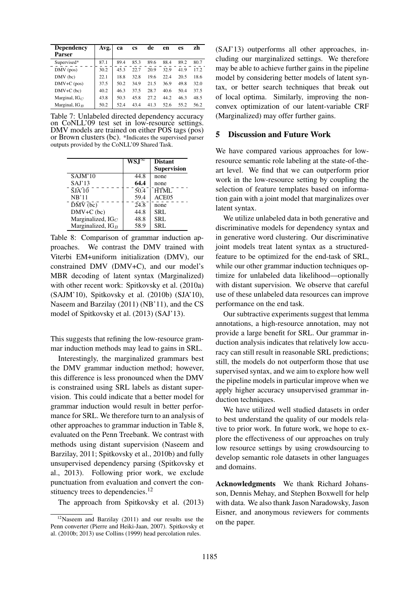| <b>Dependency</b><br>Parser | Avg. | ca   | <b>cs</b> | de   | en   | es   | zh   |
|-----------------------------|------|------|-----------|------|------|------|------|
| Supervised*                 | 87.1 | 89.4 | 85.3      | 89.6 | 88.4 | 89.2 | 80.7 |
| $DMV$ (pos)                 | 30.2 | 45.3 | 22.7      | 20.9 | 32.9 | 41.9 | 17.2 |
| $DMV$ (bc)                  | 22.1 | 18.8 | 32.8      | 19.6 | 22.4 | 20.5 | 18.6 |
| $DMV+C$ (pos)               | 37.5 | 50.2 | 34.9      | 21.5 | 36.9 | 49.8 | 32.0 |
| $DMV+C$ (bc)                | 40.2 | 46.3 | 37.5      | 28.7 | 40.6 | 50.4 | 37.5 |
| Marginal, $IG_C$            | 43.8 | 50.3 | 45.8      | 272  | 44.2 | 46.3 | 48.5 |
| Marginal, $IG_B$            | 50.2 | 52.4 | 43.4      | 41.3 | 52.6 | 55.2 | 56.2 |

Table 7: Unlabeled directed dependency accuracy on CoNLL'09 test set in low-resource settings. DMV models are trained on either POS tags (pos) or Brown clusters (bc). \*Indicates the supervised parser outputs provided by the CoNLL'09 Shared Task.

|                                  | $WS.I^{\infty}$ | <b>Distant</b>     |
|----------------------------------|-----------------|--------------------|
|                                  |                 | <b>Supervision</b> |
| SAJM'10                          | 44.8            | none               |
| SAJ'13                           | 64.4            | none               |
| $\bar{S}J\bar{A}'\bar{1}\bar{0}$ | 50.4            | <b>HTML</b>        |
| NB'11                            | 59.4            | ACE <sub>05</sub>  |
| $\overline{DMV}$ (bc)            | 24.8            | none               |
| $DMV+C$ (bc)                     | 44.8            | SRL                |
| Marginalized, $IG_C$             | 48.8            | SRL                |
| Marginalized, $IG_B$             | 58.9            | SRL                |

Table 8: Comparison of grammar induction approaches. We contrast the DMV trained with Viterbi EM+uniform initialization (DMV), our constrained DMV (DMV+C), and our model's MBR decoding of latent syntax (Marginalized) with other recent work: Spitkovsky et al. (2010a) (SAJM'10), Spitkovsky et al. (2010b) (SJA'10), Naseem and Barzilay (2011) (NB'11), and the CS model of Spitkovsky et al. (2013) (SAJ'13).

This suggests that refining the low-resource grammar induction methods may lead to gains in SRL.

Interestingly, the marginalized grammars best the DMV grammar induction method; however, this difference is less pronounced when the DMV is constrained using SRL labels as distant supervision. This could indicate that a better model for grammar induction would result in better performance for SRL. We therefore turn to an analysis of other approaches to grammar induction in Table 8, evaluated on the Penn Treebank. We contrast with methods using distant supervision (Naseem and Barzilay, 2011; Spitkovsky et al., 2010b) and fully unsupervised dependency parsing (Spitkovsky et al., 2013). Following prior work, we exclude punctuation from evaluation and convert the constituency trees to dependencies.<sup>12</sup>

The approach from Spitkovsky et al. (2013)

(SAJ'13) outperforms all other approaches, including our marginalized settings. We therefore may be able to achieve further gains in the pipeline model by considering better models of latent syntax, or better search techniques that break out of local optima. Similarly, improving the nonconvex optimization of our latent-variable CRF (Marginalized) may offer further gains.

## 5 Discussion and Future Work

We have compared various approaches for lowresource semantic role labeling at the state-of-theart level. We find that we can outperform prior work in the low-resource setting by coupling the selection of feature templates based on information gain with a joint model that marginalizes over latent syntax.

We utilize unlabeled data in both generative and discriminative models for dependency syntax and in generative word clustering. Our discriminative joint models treat latent syntax as a structuredfeature to be optimized for the end-task of SRL, while our other grammar induction techniques optimize for unlabeled data likelihood—optionally with distant supervision. We observe that careful use of these unlabeled data resources can improve performance on the end task.

Our subtractive experiments suggest that lemma annotations, a high-resource annotation, may not provide a large benefit for SRL. Our grammar induction analysis indicates that relatively low accuracy can still result in reasonable SRL predictions; still, the models do not outperform those that use supervised syntax, and we aim to explore how well the pipeline models in particular improve when we apply higher accuracy unsupervised grammar induction techniques.

We have utilized well studied datasets in order to best understand the quality of our models relative to prior work. In future work, we hope to explore the effectiveness of our approaches on truly low resource settings by using crowdsourcing to develop semantic role datasets in other languages and domains.

Acknowledgments We thank Richard Johansson, Dennis Mehay, and Stephen Boxwell for help with data. We also thank Jason Naradowsky, Jason Eisner, and anonymous reviewers for comments on the paper.

<sup>12</sup>Naseem and Barzilay (2011) and our results use the Penn converter (Pierre and Heiki-Jaan, 2007). Spitkovsky et al. (2010b; 2013) use Collins (1999) head percolation rules.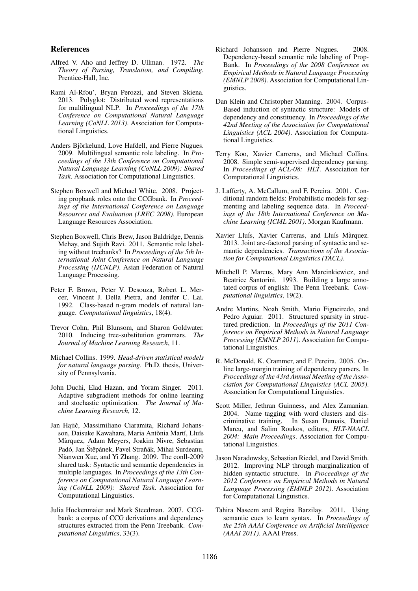#### References

- Alfred V. Aho and Jeffrey D. Ullman. 1972. *The Theory of Parsing, Translation, and Compiling*. Prentice-Hall, Inc.
- Rami Al-Rfou', Bryan Perozzi, and Steven Skiena. 2013. Polyglot: Distributed word representations for multilingual NLP. In *Proceedings of the 17th Conference on Computational Natural Language Learning (CoNLL 2013)*. Association for Computational Linguistics.
- Anders Björkelund, Love Hafdell, and Pierre Nugues. 2009. Multilingual semantic role labeling. In *Proceedings of the 13th Conference on Computational Natural Language Learning (CoNLL 2009): Shared Task*. Association for Computational Linguistics.
- Stephen Boxwell and Michael White. 2008. Projecting propbank roles onto the CCGbank. In *Proceedings of the International Conference on Language Resources and Evaluation (LREC 2008)*. European Language Resources Association.
- Stephen Boxwell, Chris Brew, Jason Baldridge, Dennis Mehay, and Sujith Ravi. 2011. Semantic role labeling without treebanks? In *Proceedings of the 5th International Joint Conference on Natural Language Processing (IJCNLP)*. Asian Federation of Natural Language Processing.
- Peter F. Brown, Peter V. Desouza, Robert L. Mercer, Vincent J. Della Pietra, and Jenifer C. Lai. 1992. Class-based n-gram models of natural language. *Computational linguistics*, 18(4).
- Trevor Cohn, Phil Blunsom, and Sharon Goldwater. 2010. Inducing tree-substitution grammars. *The Journal of Machine Learning Research*, 11.
- Michael Collins. 1999. *Head-driven statistical models for natural language parsing*. Ph.D. thesis, University of Pennsylvania.
- John Duchi, Elad Hazan, and Yoram Singer. 2011. Adaptive subgradient methods for online learning and stochastic optimization. *The Journal of Machine Learning Research*, 12.
- Jan Hajič, Massimiliano Ciaramita, Richard Johansson, Daisuke Kawahara, Maria Antònia Martí, Lluís Marquez, Adam Meyers, Joakim Nivre, Sebastian ` Padó, Jan Štěpánek, Pavel Straňák, Mihai Surdeanu, Nianwen Xue, and Yi Zhang. 2009. The conll-2009 shared task: Syntactic and semantic dependencies in multiple languages. In *Proceedings of the 13th Conference on Computational Natural Language Learning (CoNLL 2009): Shared Task*. Association for Computational Linguistics.
- Julia Hockenmaier and Mark Steedman. 2007. CCGbank: a corpus of CCG derivations and dependency structures extracted from the Penn Treebank. *Computational Linguistics*, 33(3).
- Richard Johansson and Pierre Nugues. 2008. Dependency-based semantic role labeling of Prop-Bank. In *Proceedings of the 2008 Conference on Empirical Methods in Natural Language Processing (EMNLP 2008)*. Association for Computational Linguistics.
- Dan Klein and Christopher Manning. 2004. Corpus-Based induction of syntactic structure: Models of dependency and constituency. In *Proceedings of the 42nd Meeting of the Association for Computational Linguistics (ACL 2004)*. Association for Computational Linguistics.
- Terry Koo, Xavier Carreras, and Michael Collins. 2008. Simple semi-supervised dependency parsing. In *Proceedings of ACL-08: HLT*. Association for Computational Linguistics.
- J. Lafferty, A. McCallum, and F. Pereira. 2001. Conditional random fields: Probabilistic models for segmenting and labeling sequence data. In *Proceedings of the 18th International Conference on Machine Learning (ICML 2001)*. Morgan Kaufmann.
- Xavier Lluís, Xavier Carreras, and Lluís Màrquez. 2013. Joint arc-factored parsing of syntactic and semantic dependencies. *Transactions of the Association for Computational Linguistics (TACL)*.
- Mitchell P. Marcus, Mary Ann Marcinkiewicz, and Beatrice Santorini. 1993. Building a large annotated corpus of english: The Penn Treebank. *Computational linguistics*, 19(2).
- Andre Martins, Noah Smith, Mario Figueiredo, and Pedro Aguiar. 2011. Structured sparsity in structured prediction. In *Proceedings of the 2011 Conference on Empirical Methods in Natural Language Processing (EMNLP 2011)*. Association for Computational Linguistics.
- R. McDonald, K. Crammer, and F. Pereira. 2005. Online large-margin training of dependency parsers. In *Proceedings of the 43rd Annual Meeting of the Association for Computational Linguistics (ACL 2005)*. Association for Computational Linguistics.
- Scott Miller, Jethran Guinness, and Alex Zamanian. 2004. Name tagging with word clusters and discriminative training. In Susan Dumais, Daniel Marcu, and Salim Roukos, editors, *HLT-NAACL 2004: Main Proceedings*. Association for Computational Linguistics.
- Jason Naradowsky, Sebastian Riedel, and David Smith. 2012. Improving NLP through marginalization of hidden syntactic structure. In *Proceedings of the 2012 Conference on Empirical Methods in Natural Language Processing (EMNLP 2012)*. Association for Computational Linguistics.
- Tahira Naseem and Regina Barzilay. 2011. Using semantic cues to learn syntax. In *Proceedings of the 25th AAAI Conference on Artificial Intelligence (AAAI 2011)*. AAAI Press.